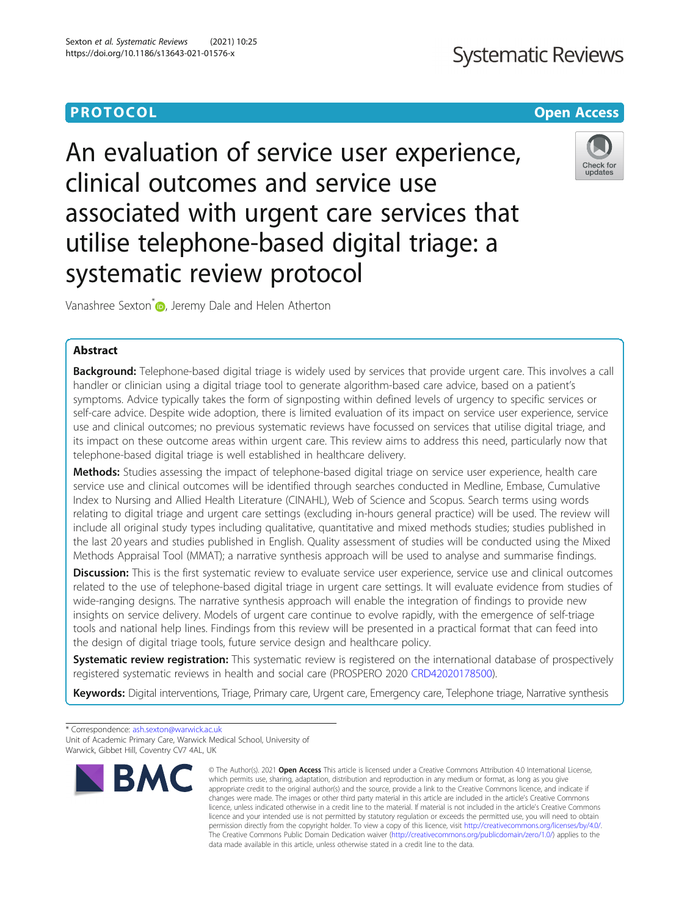# **Systematic Reviews**

### **PROTOCOL CONSUMING THE CONSUMING TEACHER CONSUMING THE CONSUMING TEACHER CONSUMING THE CONSUMING TEACHER CONSUMING**



An evaluation of service user experience, clinical outcomes and service use associated with urgent care services that utilise telephone-based digital triage: a systematic review protocol

Vanashree Sexton<sup>\*</sup> <sub>D</sub>[,](http://orcid.org/0000-0002-6935-016X) Jeremy Dale and Helen Atherton

### Abstract

Background: Telephone-based digital triage is widely used by services that provide urgent care. This involves a call handler or clinician using a digital triage tool to generate algorithm-based care advice, based on a patient's symptoms. Advice typically takes the form of signposting within defined levels of urgency to specific services or self-care advice. Despite wide adoption, there is limited evaluation of its impact on service user experience, service use and clinical outcomes; no previous systematic reviews have focussed on services that utilise digital triage, and its impact on these outcome areas within urgent care. This review aims to address this need, particularly now that telephone-based digital triage is well established in healthcare delivery.

Methods: Studies assessing the impact of telephone-based digital triage on service user experience, health care service use and clinical outcomes will be identified through searches conducted in Medline, Embase, Cumulative Index to Nursing and Allied Health Literature (CINAHL), Web of Science and Scopus. Search terms using words relating to digital triage and urgent care settings (excluding in-hours general practice) will be used. The review will include all original study types including qualitative, quantitative and mixed methods studies; studies published in the last 20 years and studies published in English. Quality assessment of studies will be conducted using the Mixed Methods Appraisal Tool (MMAT); a narrative synthesis approach will be used to analyse and summarise findings.

Discussion: This is the first systematic review to evaluate service user experience, service use and clinical outcomes related to the use of telephone-based digital triage in urgent care settings. It will evaluate evidence from studies of wide-ranging designs. The narrative synthesis approach will enable the integration of findings to provide new insights on service delivery. Models of urgent care continue to evolve rapidly, with the emergence of self-triage tools and national help lines. Findings from this review will be presented in a practical format that can feed into the design of digital triage tools, future service design and healthcare policy.

Systematic review registration: This systematic review is registered on the international database of prospectively registered systematic reviews in health and social care (PROSPERO 2020 [CRD42020178500\)](https://www.crd.york.ac.uk/prospero/display_record.php?ID=CRD42020178500).

Keywords: Digital interventions, Triage, Primary care, Urgent care, Emergency care, Telephone triage, Narrative synthesis

\* Correspondence: [ash.sexton@warwick.ac.uk](mailto:ash.sexton@warwick.ac.uk) Unit of Academic Primary Care, Warwick Medical School, University of Warwick, Gibbet Hill, Coventry CV7 4AL, UK



<sup>©</sup> The Author(s), 2021 **Open Access** This article is licensed under a Creative Commons Attribution 4.0 International License, which permits use, sharing, adaptation, distribution and reproduction in any medium or format, as long as you give appropriate credit to the original author(s) and the source, provide a link to the Creative Commons licence, and indicate if changes were made. The images or other third party material in this article are included in the article's Creative Commons licence, unless indicated otherwise in a credit line to the material. If material is not included in the article's Creative Commons licence and your intended use is not permitted by statutory regulation or exceeds the permitted use, you will need to obtain permission directly from the copyright holder. To view a copy of this licence, visit [http://creativecommons.org/licenses/by/4.0/.](http://creativecommons.org/licenses/by/4.0/) The Creative Commons Public Domain Dedication waiver [\(http://creativecommons.org/publicdomain/zero/1.0/](http://creativecommons.org/publicdomain/zero/1.0/)) applies to the data made available in this article, unless otherwise stated in a credit line to the data.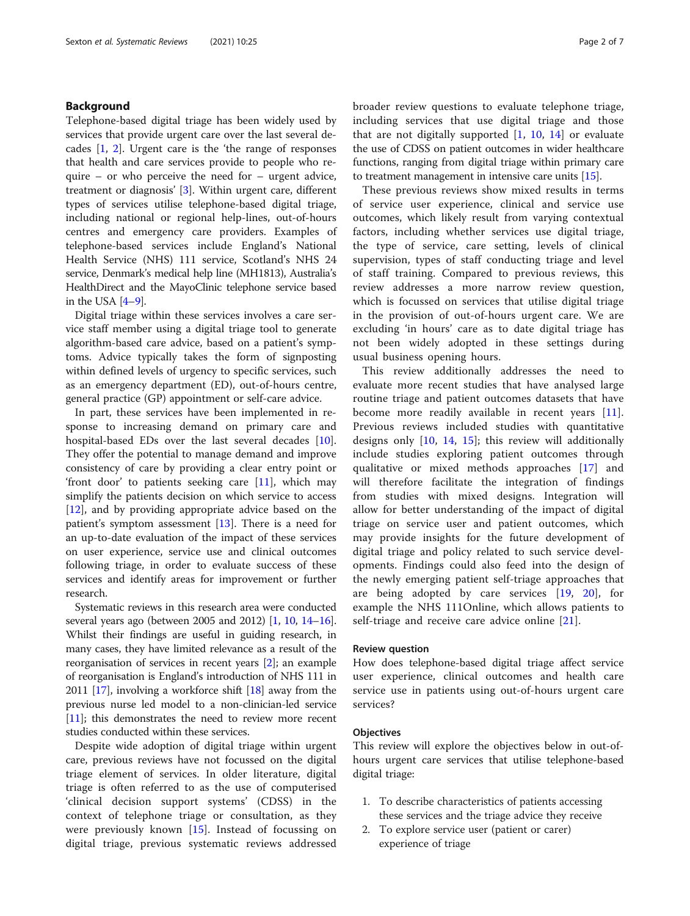#### Background

Telephone-based digital triage has been widely used by services that provide urgent care over the last several decades [\[1](#page-6-0), [2](#page-6-0)]. Urgent care is the 'the range of responses that health and care services provide to people who require – or who perceive the need for – urgent advice, treatment or diagnosis' [[3\]](#page-6-0). Within urgent care, different types of services utilise telephone-based digital triage, including national or regional help-lines, out-of-hours centres and emergency care providers. Examples of telephone-based services include England's National Health Service (NHS) 111 service, Scotland's NHS 24 service, Denmark's medical help line (MH1813), Australia's HealthDirect and the MayoClinic telephone service based in the USA [\[4](#page-6-0)–[9](#page-6-0)].

Digital triage within these services involves a care service staff member using a digital triage tool to generate algorithm-based care advice, based on a patient's symptoms. Advice typically takes the form of signposting within defined levels of urgency to specific services, such as an emergency department (ED), out-of-hours centre, general practice (GP) appointment or self-care advice.

In part, these services have been implemented in response to increasing demand on primary care and hospital-based EDs over the last several decades [\[10](#page-6-0)]. They offer the potential to manage demand and improve consistency of care by providing a clear entry point or 'front door' to patients seeking care [\[11\]](#page-6-0), which may simplify the patients decision on which service to access [[12\]](#page-6-0), and by providing appropriate advice based on the patient's symptom assessment [\[13\]](#page-6-0). There is a need for an up-to-date evaluation of the impact of these services on user experience, service use and clinical outcomes following triage, in order to evaluate success of these services and identify areas for improvement or further research.

Systematic reviews in this research area were conducted several years ago (between 2005 and 2012) [\[1](#page-6-0), [10](#page-6-0), [14](#page-6-0)–[16](#page-6-0)]. Whilst their findings are useful in guiding research, in many cases, they have limited relevance as a result of the reorganisation of services in recent years [\[2](#page-6-0)]; an example of reorganisation is England's introduction of NHS 111 in 2011 [\[17](#page-6-0)], involving a workforce shift [[18](#page-6-0)] away from the previous nurse led model to a non-clinician-led service [[11](#page-6-0)]; this demonstrates the need to review more recent studies conducted within these services.

Despite wide adoption of digital triage within urgent care, previous reviews have not focussed on the digital triage element of services. In older literature, digital triage is often referred to as the use of computerised 'clinical decision support systems' (CDSS) in the context of telephone triage or consultation, as they were previously known [[15](#page-6-0)]. Instead of focussing on digital triage, previous systematic reviews addressed broader review questions to evaluate telephone triage, including services that use digital triage and those that are not digitally supported  $[1, 10, 14]$  $[1, 10, 14]$  $[1, 10, 14]$  $[1, 10, 14]$  $[1, 10, 14]$  $[1, 10, 14]$  $[1, 10, 14]$  or evaluate the use of CDSS on patient outcomes in wider healthcare functions, ranging from digital triage within primary care to treatment management in intensive care units [[15](#page-6-0)].

These previous reviews show mixed results in terms of service user experience, clinical and service use outcomes, which likely result from varying contextual factors, including whether services use digital triage, the type of service, care setting, levels of clinical supervision, types of staff conducting triage and level of staff training. Compared to previous reviews, this review addresses a more narrow review question, which is focussed on services that utilise digital triage in the provision of out-of-hours urgent care. We are excluding 'in hours' care as to date digital triage has not been widely adopted in these settings during usual business opening hours.

This review additionally addresses the need to evaluate more recent studies that have analysed large routine triage and patient outcomes datasets that have become more readily available in recent years [\[11](#page-6-0)]. Previous reviews included studies with quantitative designs only [\[10,](#page-6-0) [14](#page-6-0), [15](#page-6-0)]; this review will additionally include studies exploring patient outcomes through qualitative or mixed methods approaches [\[17](#page-6-0)] and will therefore facilitate the integration of findings from studies with mixed designs. Integration will allow for better understanding of the impact of digital triage on service user and patient outcomes, which may provide insights for the future development of digital triage and policy related to such service developments. Findings could also feed into the design of the newly emerging patient self-triage approaches that are being adopted by care services [\[19](#page-6-0), [20](#page-6-0)], for example the NHS 111Online, which allows patients to self-triage and receive care advice online [[21](#page-6-0)].

#### Review question

How does telephone-based digital triage affect service user experience, clinical outcomes and health care service use in patients using out-of-hours urgent care services?

#### **Objectives**

This review will explore the objectives below in out-ofhours urgent care services that utilise telephone-based digital triage:

- 1. To describe characteristics of patients accessing these services and the triage advice they receive
- 2. To explore service user (patient or carer) experience of triage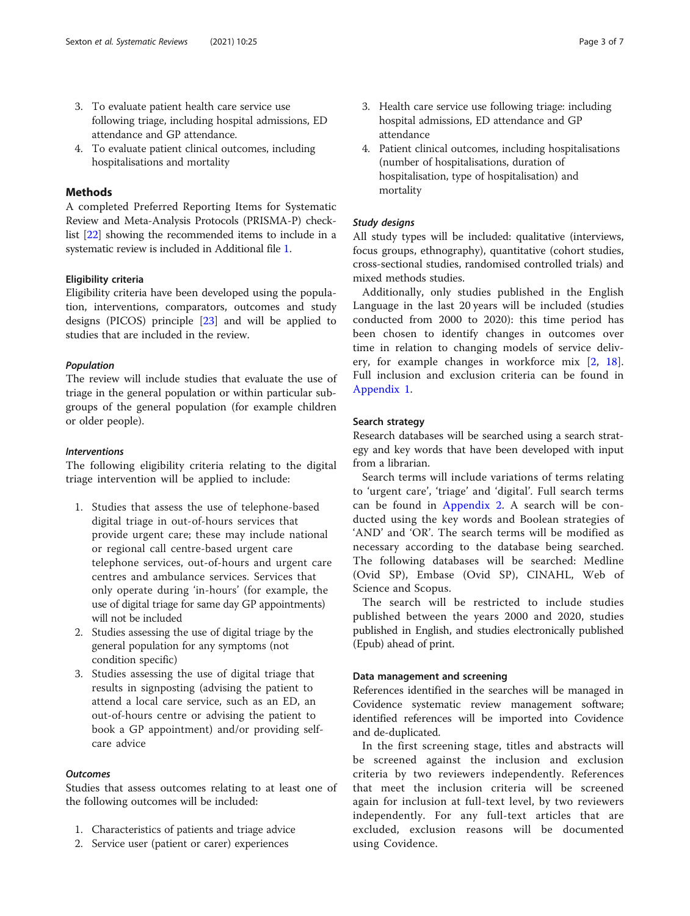- 3. To evaluate patient health care service use following triage, including hospital admissions, ED attendance and GP attendance.
- 4. To evaluate patient clinical outcomes, including hospitalisations and mortality

#### Methods

A completed Preferred Reporting Items for Systematic Review and Meta-Analysis Protocols (PRISMA-P) checklist [\[22\]](#page-6-0) showing the recommended items to include in a systematic review is included in Additional file [1.](#page-5-0)

#### Eligibility criteria

Eligibility criteria have been developed using the population, interventions, comparators, outcomes and study designs (PICOS) principle [\[23](#page-6-0)] and will be applied to studies that are included in the review.

#### Population

The review will include studies that evaluate the use of triage in the general population or within particular subgroups of the general population (for example children or older people).

#### Interventions

The following eligibility criteria relating to the digital triage intervention will be applied to include:

- 1. Studies that assess the use of telephone-based digital triage in out-of-hours services that provide urgent care; these may include national or regional call centre-based urgent care telephone services, out-of-hours and urgent care centres and ambulance services. Services that only operate during 'in-hours' (for example, the use of digital triage for same day GP appointments) will not be included
- 2. Studies assessing the use of digital triage by the general population for any symptoms (not condition specific)
- 3. Studies assessing the use of digital triage that results in signposting (advising the patient to attend a local care service, such as an ED, an out-of-hours centre or advising the patient to book a GP appointment) and/or providing selfcare advice

#### **Outcomes**

Studies that assess outcomes relating to at least one of the following outcomes will be included:

- 1. Characteristics of patients and triage advice
- 2. Service user (patient or carer) experiences
- 3. Health care service use following triage: including hospital admissions, ED attendance and GP attendance
- 4. Patient clinical outcomes, including hospitalisations (number of hospitalisations, duration of hospitalisation, type of hospitalisation) and mortality

#### Study designs

All study types will be included: qualitative (interviews, focus groups, ethnography), quantitative (cohort studies, cross-sectional studies, randomised controlled trials) and mixed methods studies.

Additionally, only studies published in the English Language in the last 20 years will be included (studies conducted from 2000 to 2020): this time period has been chosen to identify changes in outcomes over time in relation to changing models of service delivery, for example changes in workforce mix [[2,](#page-6-0) [18](#page-6-0)]. Full inclusion and exclusion criteria can be found in [Appendix 1](#page-4-0).

#### Search strategy

Research databases will be searched using a search strategy and key words that have been developed with input from a librarian.

Search terms will include variations of terms relating to 'urgent care', 'triage' and 'digital'. Full search terms can be found in [Appendix 2](#page-4-0). A search will be conducted using the key words and Boolean strategies of 'AND' and 'OR'. The search terms will be modified as necessary according to the database being searched. The following databases will be searched: Medline (Ovid SP), Embase (Ovid SP), CINAHL, Web of Science and Scopus.

The search will be restricted to include studies published between the years 2000 and 2020, studies published in English, and studies electronically published (Epub) ahead of print.

#### Data management and screening

References identified in the searches will be managed in Covidence systematic review management software; identified references will be imported into Covidence and de-duplicated.

In the first screening stage, titles and abstracts will be screened against the inclusion and exclusion criteria by two reviewers independently. References that meet the inclusion criteria will be screened again for inclusion at full-text level, by two reviewers independently. For any full-text articles that are excluded, exclusion reasons will be documented using Covidence.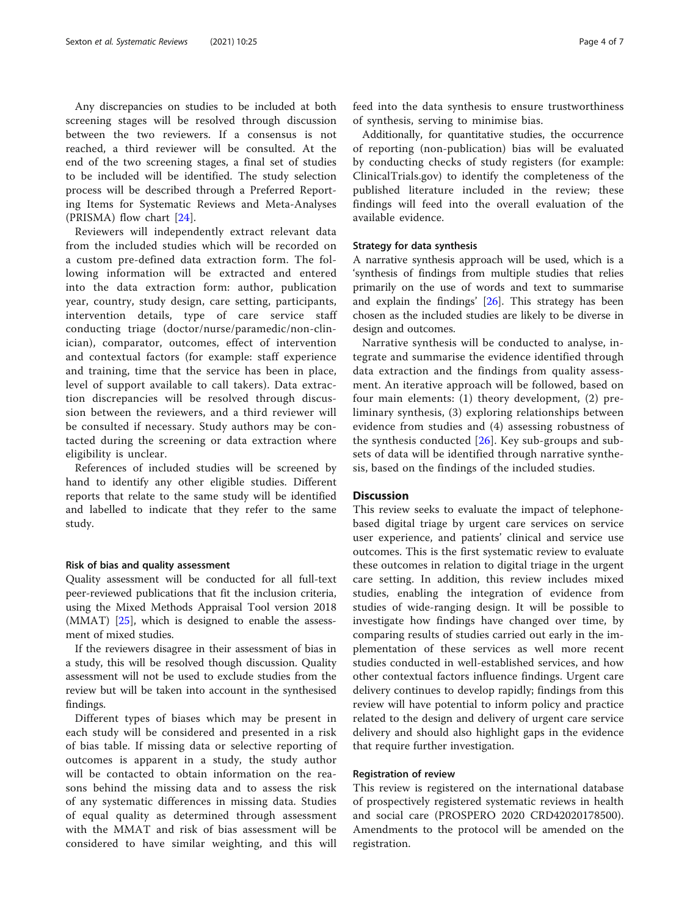Any discrepancies on studies to be included at both screening stages will be resolved through discussion between the two reviewers. If a consensus is not reached, a third reviewer will be consulted. At the end of the two screening stages, a final set of studies to be included will be identified. The study selection process will be described through a Preferred Reporting Items for Systematic Reviews and Meta-Analyses (PRISMA) flow chart [[24\]](#page-6-0).

Reviewers will independently extract relevant data from the included studies which will be recorded on a custom pre-defined data extraction form. The following information will be extracted and entered into the data extraction form: author, publication year, country, study design, care setting, participants, intervention details, type of care service staff conducting triage (doctor/nurse/paramedic/non-clinician), comparator, outcomes, effect of intervention and contextual factors (for example: staff experience and training, time that the service has been in place, level of support available to call takers). Data extraction discrepancies will be resolved through discussion between the reviewers, and a third reviewer will be consulted if necessary. Study authors may be contacted during the screening or data extraction where eligibility is unclear.

References of included studies will be screened by hand to identify any other eligible studies. Different reports that relate to the same study will be identified and labelled to indicate that they refer to the same study.

#### Risk of bias and quality assessment

Quality assessment will be conducted for all full-text peer-reviewed publications that fit the inclusion criteria, using the Mixed Methods Appraisal Tool version 2018 (MMAT) [\[25](#page-6-0)], which is designed to enable the assessment of mixed studies.

If the reviewers disagree in their assessment of bias in a study, this will be resolved though discussion. Quality assessment will not be used to exclude studies from the review but will be taken into account in the synthesised findings.

Different types of biases which may be present in each study will be considered and presented in a risk of bias table. If missing data or selective reporting of outcomes is apparent in a study, the study author will be contacted to obtain information on the reasons behind the missing data and to assess the risk of any systematic differences in missing data. Studies of equal quality as determined through assessment with the MMAT and risk of bias assessment will be considered to have similar weighting, and this will feed into the data synthesis to ensure trustworthiness of synthesis, serving to minimise bias.

Additionally, for quantitative studies, the occurrence of reporting (non-publication) bias will be evaluated by conducting checks of study registers (for example: ClinicalTrials.gov) to identify the completeness of the published literature included in the review; these findings will feed into the overall evaluation of the available evidence.

#### Strategy for data synthesis

A narrative synthesis approach will be used, which is a 'synthesis of findings from multiple studies that relies primarily on the use of words and text to summarise and explain the findings'  $[26]$ . This strategy has been chosen as the included studies are likely to be diverse in design and outcomes.

Narrative synthesis will be conducted to analyse, integrate and summarise the evidence identified through data extraction and the findings from quality assessment. An iterative approach will be followed, based on four main elements: (1) theory development, (2) preliminary synthesis, (3) exploring relationships between evidence from studies and (4) assessing robustness of the synthesis conducted  $[26]$  $[26]$ . Key sub-groups and subsets of data will be identified through narrative synthesis, based on the findings of the included studies.

#### **Discussion**

This review seeks to evaluate the impact of telephonebased digital triage by urgent care services on service user experience, and patients' clinical and service use outcomes. This is the first systematic review to evaluate these outcomes in relation to digital triage in the urgent care setting. In addition, this review includes mixed studies, enabling the integration of evidence from studies of wide-ranging design. It will be possible to investigate how findings have changed over time, by comparing results of studies carried out early in the implementation of these services as well more recent studies conducted in well-established services, and how other contextual factors influence findings. Urgent care delivery continues to develop rapidly; findings from this review will have potential to inform policy and practice related to the design and delivery of urgent care service delivery and should also highlight gaps in the evidence that require further investigation.

#### Registration of review

This review is registered on the international database of prospectively registered systematic reviews in health and social care (PROSPERO 2020 CRD42020178500). Amendments to the protocol will be amended on the registration.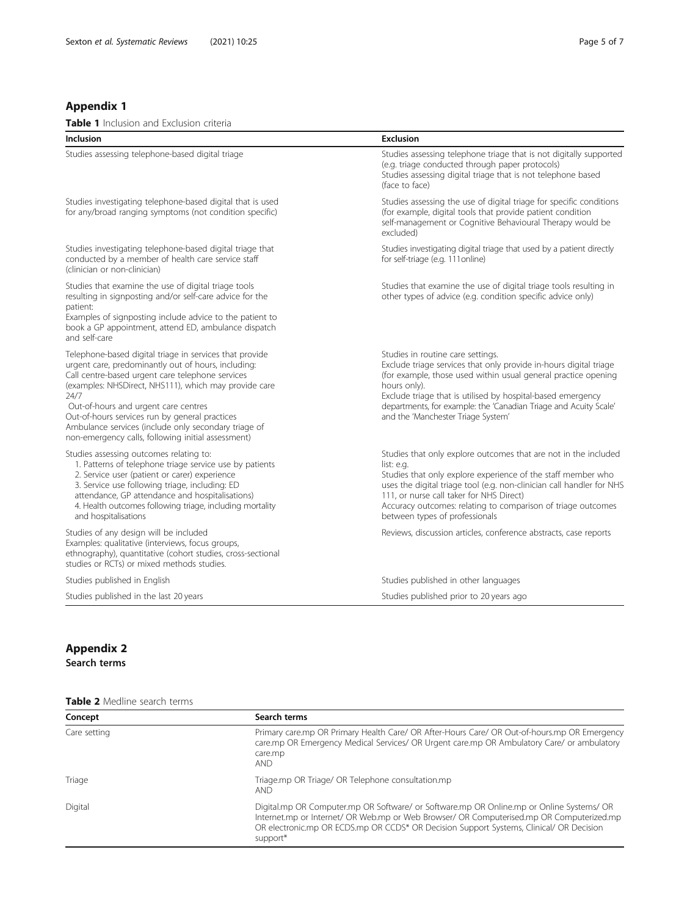#### <span id="page-4-0"></span>Appendix 1

| <b>Table 1</b> Inclusion and Exclusion criteria                                                                                                                                                                                                                   |                                                                                                                                                                                                             |  |
|-------------------------------------------------------------------------------------------------------------------------------------------------------------------------------------------------------------------------------------------------------------------|-------------------------------------------------------------------------------------------------------------------------------------------------------------------------------------------------------------|--|
| Inclusion                                                                                                                                                                                                                                                         | <b>Exclusion</b>                                                                                                                                                                                            |  |
| Studies assessing telephone-based digital triage                                                                                                                                                                                                                  | Studies assessing telephone triage that is not digitally supported<br>(e.g. triage conducted through paper protocols)<br>Studies assessing digital triage that is not telephone based<br>(face to face)     |  |
| Studies investigating telephone-based digital that is used<br>for any/broad ranging symptoms (not condition specific)                                                                                                                                             | Studies assessing the use of digital triage for specific conditions<br>(for example, digital tools that provide patient condition<br>self-management or Cognitive Behavioural Therapy would be<br>excluded) |  |
| Studies investigating telephone-based digital triage that<br>conducted by a member of health care service staff<br>(clinician or non-clinician)                                                                                                                   | Studies investigating digital triage that used by a patient directly<br>for self-triage (e.g. 111online)                                                                                                    |  |
| Studies that examine the use of digital triage tools<br>resulting in signposting and/or self-care advice for the<br>patient:<br>Examples of signposting include advice to the patient to<br>book a GP appointment, attend ED, ambulance dispatch<br>and self-care | Studies that examine the use of digital triage tools resulting in<br>other types of advice (e.g. condition specific advice only)                                                                            |  |
| Telephone-based digital triage in services that provide<br>urgent care, predominantly out of hours, including:<br>Call centre-based urgent care telephone services<br>(examples: NHSDirect, NHS111), which may provide care                                       | Studies in routine care settings.<br>Exclude triage services that only provide in-hours digital triage<br>(for example, those used within usual general practice opening<br>hours only).                    |  |

and the 'Manchester Triage System'

(examples: NHSDirect, NHS111), which may provide care 24/7 Out-of-hours and urgent care centres Out-of-hours services run by general practices Ambulance services (include only secondary triage of non-emergency calls, following initial assessment)

Studies assessing outcomes relating to:

- 1. Patterns of telephone triage service use by patients
- 2. Service user (patient or carer) experience

- 3. Service use following triage, including: ED
- attendance, GP attendance and hospitalisations)
- 4. Health outcomes following triage, including mortality and hospitalisations

Studies of any design will be included Examples: qualitative (interviews, focus groups, ethnography), quantitative (cohort studies, cross-sectional studies or RCTs) or mixed methods studies.

Studies that only explore outcomes that are not in the included list: e.g.

Exclude triage that is utilised by hospital-based emergency departments, for example: the 'Canadian Triage and Acuity Scale'

Studies that only explore experience of the staff member who uses the digital triage tool (e.g. non-clinician call handler for NHS 111, or nurse call taker for NHS Direct)

Accuracy outcomes: relating to comparison of triage outcomes between types of professionals

Reviews, discussion articles, conference abstracts, case reports

Studies published in English Studies published in other languages Studies published in the last 20 years Studies published prior to 20 years ago

## Appendix 2

Search terms

| Table 2 Medline search terms |
|------------------------------|
|------------------------------|

| Concept      | Search terms                                                                                                                                                                                                                                                                                |
|--------------|---------------------------------------------------------------------------------------------------------------------------------------------------------------------------------------------------------------------------------------------------------------------------------------------|
| Care setting | Primary care.mp OR Primary Health Care/ OR After-Hours Care/ OR Out-of-hours.mp OR Emergency<br>care.mp OR Emergency Medical Services/ OR Urgent care.mp OR Ambulatory Care/ or ambulatory<br>care.mp<br><b>AND</b>                                                                         |
| Triage       | Triage.mp OR Triage/ OR Telephone consultation.mp<br><b>AND</b>                                                                                                                                                                                                                             |
| Digital      | Digital.mp OR Computer.mp OR Software/ or Software.mp OR Online.mp or Online Systems/ OR<br>Internet.mp or Internet/ OR Web.mp or Web Browser/ OR Computerised.mp OR Computerized.mp<br>OR electronic.mp OR ECDS.mp OR CCDS* OR Decision Support Systems, Clinical/ OR Decision<br>support* |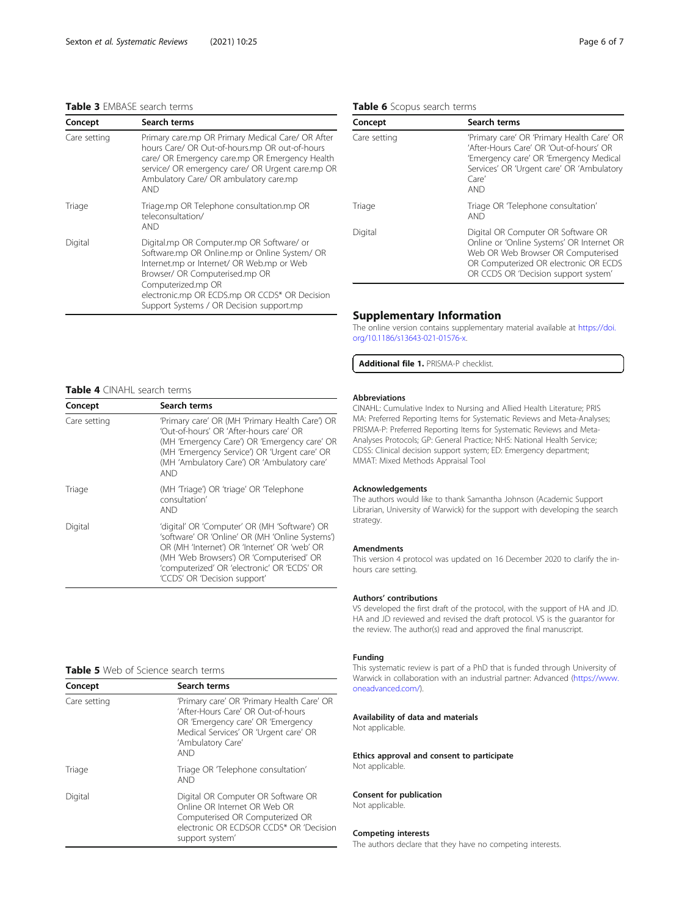#### <span id="page-5-0"></span>Table 3 EMBASE search terms

| Concept      | Search terms                                                                                                                                                                                                                                                                                 |
|--------------|----------------------------------------------------------------------------------------------------------------------------------------------------------------------------------------------------------------------------------------------------------------------------------------------|
| Care setting | Primary care.mp OR Primary Medical Care/ OR After<br>hours Care/ OR Out-of-hours.mp OR out-of-hours<br>care/ OR Emergency care.mp OR Emergency Health<br>service/ OR emergency care/ OR Urgent care.mp OR<br>Ambulatory Care/ OR ambulatory care.mp<br>AND                                   |
| Triage       | Triage.mp OR Telephone consultation.mp OR<br>teleconsultation/<br><b>AND</b>                                                                                                                                                                                                                 |
| Digital      | Digital.mp OR Computer.mp OR Software/ or<br>Software.mp OR Online.mp or Online System/ OR<br>Internet.mp or Internet/ OR Web.mp or Web<br>Browser/ OR Computerised.mp OR<br>Computerized.mp OR<br>electronic.mp OR ECDS.mp OR CCDS* OR Decision<br>Support Systems / OR Decision support.mp |

### Table 6 Scopus search terms

| Concept      | Search terms                                                                                                                                                                                           |
|--------------|--------------------------------------------------------------------------------------------------------------------------------------------------------------------------------------------------------|
| Care setting | 'Primary care' OR 'Primary Health Care' OR<br>'After-Hours Care' OR 'Out-of-hours' OR<br>'Emergency care' OR 'Emergency Medical<br>Services' OR 'Urgent care' OR 'Ambulatory<br>$C$ are'<br><b>AND</b> |
| Triage       | Triage OR Telephone consultation'<br><b>AND</b>                                                                                                                                                        |
| Digital      | Digital OR Computer OR Software OR<br>Online or 'Online Systems' OR Internet OR<br>Web OR Web Browser OR Computerised<br>OR Computerized OR electronic OR ECDS<br>OR CCDS OR 'Decision support system' |

#### Supplementary Information

The online version contains supplementary material available at [https://doi.](https://doi.org/10.1186/s13643-021-01576-x) [org/10.1186/s13643-021-01576-x](https://doi.org/10.1186/s13643-021-01576-x).

Additional file 1. PRISMA-P checklist.

#### Table 4 CINAHL search terms

| Concept      | Search terms                                                                                                                                                                                                                                                                |
|--------------|-----------------------------------------------------------------------------------------------------------------------------------------------------------------------------------------------------------------------------------------------------------------------------|
| Care setting | 'Primary care' OR (MH 'Primary Health Care') OR<br>'Out-of-hours' OR 'After-hours care' OR<br>(MH 'Emergency Care') OR 'Emergency care' OR<br>(MH 'Emergency Service') OR 'Urgent care' OR<br>(MH 'Ambulatory Care') OR 'Ambulatory care'<br><b>AND</b>                     |
| Triage       | (MH Triage') OR 'triage' OR Telephone<br>consultation'<br>AND                                                                                                                                                                                                               |
| Digital      | 'digital' OR 'Computer' OR (MH 'Software') OR<br>'software' OR 'Online' OR (MH 'Online Systems')<br>OR (MH 'Internet') OR 'Internet' OR 'web' OR<br>(MH 'Web Browsers') OR 'Computerised' OR<br>'computerized' OR 'electronic' OR 'ECDS' OR<br>'CCDS' OR 'Decision support' |

#### Table 5 Web of Science search terms

| Concept      | Search terms                                                                                                                                                                                      |
|--------------|---------------------------------------------------------------------------------------------------------------------------------------------------------------------------------------------------|
| Care setting | 'Primary care' OR 'Primary Health Care' OR<br>'After-Hours Care' OR Out-of-hours<br>OR 'Emergency care' OR 'Emergency<br>Medical Services' OR 'Urgent care' OR<br>'Ambulatory Care'<br><b>AND</b> |
| Triage       | Triage OR Telephone consultation'<br><b>AND</b>                                                                                                                                                   |
| Digital      | Digital OR Computer OR Software OR<br>Online OR Internet OR Web OR<br>Computerised OR Computerized OR<br>electronic OR ECDSOR CCDS* OR 'Decision<br>support system'                               |

#### Abbreviations

CINAHL: Cumulative Index to Nursing and Allied Health Literature; PRIS MA: Preferred Reporting Items for Systematic Reviews and Meta-Analyses; PRISMA-P: Preferred Reporting Items for Systematic Reviews and Meta-Analyses Protocols; GP: General Practice; NHS: National Health Service; CDSS: Clinical decision support system; ED: Emergency department; MMAT: Mixed Methods Appraisal Tool

#### Acknowledgements

The authors would like to thank Samantha Johnson (Academic Support Librarian, University of Warwick) for the support with developing the search strategy.

#### Amendments

This version 4 protocol was updated on 16 December 2020 to clarify the inhours care setting.

#### Authors' contributions

VS developed the first draft of the protocol, with the support of HA and JD. HA and JD reviewed and revised the draft protocol. VS is the guarantor for the review. The author(s) read and approved the final manuscript.

#### Funding

This systematic review is part of a PhD that is funded through University of Warwick in collaboration with an industrial partner: Advanced [\(https://www.](https://www.oneadvanced.com/) [oneadvanced.com/\)](https://www.oneadvanced.com/).

#### Availability of data and materials

Not applicable.

Ethics approval and consent to participate Not applicable.

#### Consent for publication

Not applicable.

#### Competing interests

The authors declare that they have no competing interests.